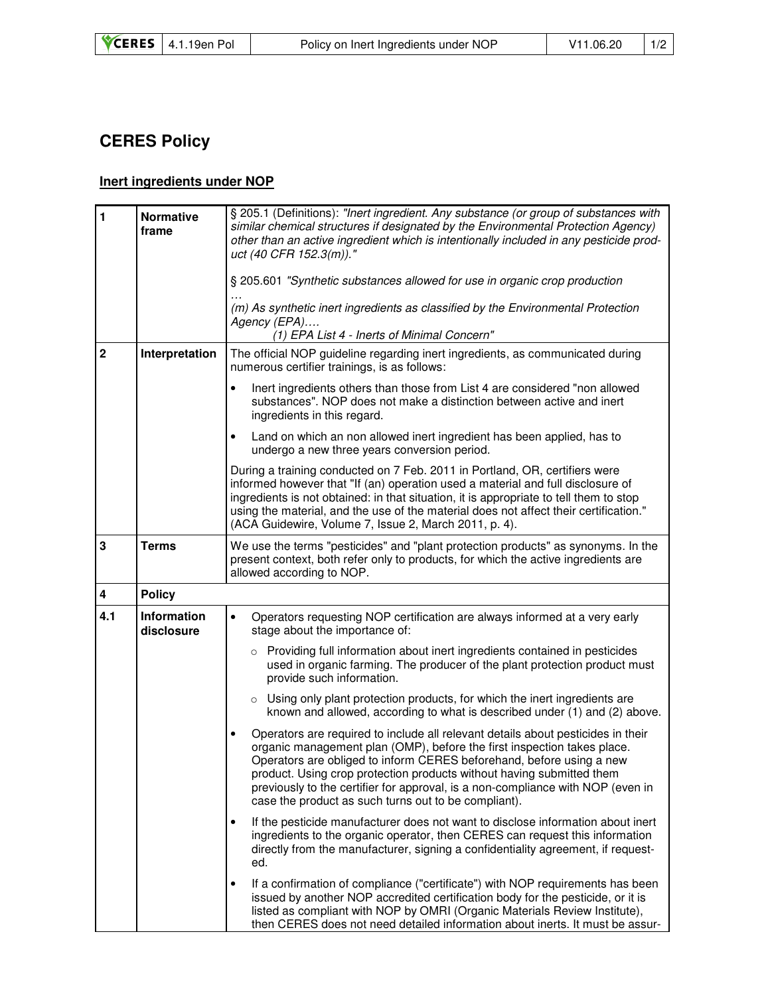## **CERES Policy**

## **Inert ingredients under NOP**

| 1              | Normative<br>frame               | § 205.1 (Definitions): "Inert ingredient. Any substance (or group of substances with<br>similar chemical structures if designated by the Environmental Protection Agency)<br>other than an active ingredient which is intentionally included in any pesticide prod-<br>uct (40 CFR 152.3(m))."<br>§ 205.601 "Synthetic substances allowed for use in organic crop production                                                                                         |
|----------------|----------------------------------|----------------------------------------------------------------------------------------------------------------------------------------------------------------------------------------------------------------------------------------------------------------------------------------------------------------------------------------------------------------------------------------------------------------------------------------------------------------------|
|                |                                  | (m) As synthetic inert ingredients as classified by the Environmental Protection<br>Agency (EPA)<br>(1) EPA List 4 - Inerts of Minimal Concern"                                                                                                                                                                                                                                                                                                                      |
| $\overline{2}$ | Interpretation                   | The official NOP guideline regarding inert ingredients, as communicated during<br>numerous certifier trainings, is as follows:                                                                                                                                                                                                                                                                                                                                       |
|                |                                  | $\bullet$<br>Inert ingredients others than those from List 4 are considered "non allowed<br>substances". NOP does not make a distinction between active and inert<br>ingredients in this regard.                                                                                                                                                                                                                                                                     |
|                |                                  | Land on which an non allowed inert ingredient has been applied, has to<br>$\bullet$<br>undergo a new three years conversion period.                                                                                                                                                                                                                                                                                                                                  |
|                |                                  | During a training conducted on 7 Feb. 2011 in Portland, OR, certifiers were<br>informed however that "If (an) operation used a material and full disclosure of<br>ingredients is not obtained: in that situation, it is appropriate to tell them to stop<br>using the material, and the use of the material does not affect their certification."<br>(ACA Guidewire, Volume 7, Issue 2, March 2011, p. 4).                                                           |
| 3              | <b>Terms</b>                     | We use the terms "pesticides" and "plant protection products" as synonyms. In the<br>present context, both refer only to products, for which the active ingredients are<br>allowed according to NOP.                                                                                                                                                                                                                                                                 |
| 4              | <b>Policy</b>                    |                                                                                                                                                                                                                                                                                                                                                                                                                                                                      |
| 4.1            | <b>Information</b><br>disclosure | Operators requesting NOP certification are always informed at a very early<br>٠<br>stage about the importance of:                                                                                                                                                                                                                                                                                                                                                    |
|                |                                  | Providing full information about inert ingredients contained in pesticides<br>$\circ$<br>used in organic farming. The producer of the plant protection product must<br>provide such information.                                                                                                                                                                                                                                                                     |
|                |                                  | o Using only plant protection products, for which the inert ingredients are<br>known and allowed, according to what is described under (1) and (2) above.                                                                                                                                                                                                                                                                                                            |
|                |                                  | Operators are required to include all relevant details about pesticides in their<br>$\bullet$<br>organic management plan (OMP), before the first inspection takes place.<br>Operators are obliged to inform CERES beforehand, before using a new<br>product. Using crop protection products without having submitted them<br>previously to the certifier for approval, is a non-compliance with NOP (even in<br>case the product as such turns out to be compliant). |
|                |                                  | If the pesticide manufacturer does not want to disclose information about inert<br>ingredients to the organic operator, then CERES can request this information<br>directly from the manufacturer, signing a confidentiality agreement, if request-<br>ed.                                                                                                                                                                                                           |
|                |                                  | If a confirmation of compliance ("certificate") with NOP requirements has been<br>٠<br>issued by another NOP accredited certification body for the pesticide, or it is<br>listed as compliant with NOP by OMRI (Organic Materials Review Institute),<br>then CERES does not need detailed information about inerts. It must be assur-                                                                                                                                |